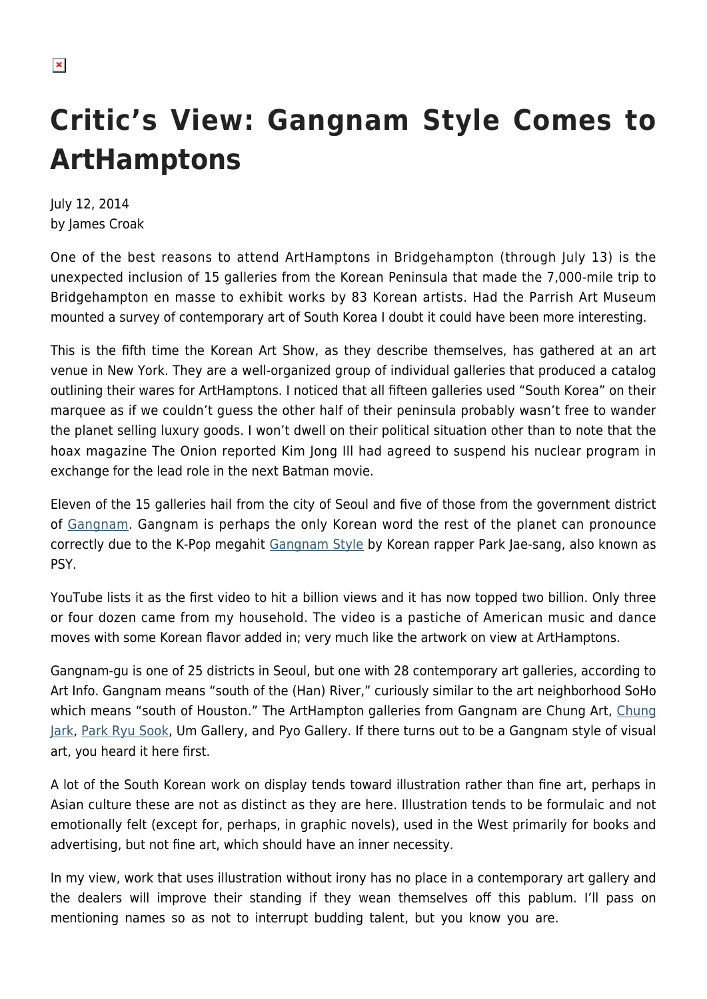## **Critic's View: Gangnam Style Comes to ArtHamptons**

July 12, 2014 by James Croak

One of the best reasons to attend ArtHamptons in Bridgehampton (through July 13) is the unexpected inclusion of 15 galleries from the Korean Peninsula that made the 7,000-mile trip to Bridgehampton en masse to exhibit works by 83 Korean artists. Had the Parrish Art Museum mounted a survey of contemporary art of South Korea I doubt it could have been more interesting.

This is the fifth time the Korean Art Show, as they describe themselves, has gathered at an art venue in New York. They are a well-organized group of individual galleries that produced a catalog outlining their wares for ArtHamptons. I noticed that all fifteen galleries used "South Korea" on their marquee as if we couldn't guess the other half of their peninsula probably wasn't free to wander the planet selling luxury goods. I won't dwell on their political situation other than to note that the hoax magazine The Onion reported Kim Jong Ill had agreed to suspend his nuclear program in exchange for the lead role in the next Batman movie.

Eleven of the 15 galleries hail from the city of Seoul and five of those from the government district of [Gangnam](http://en.wikipedia.org/wiki/Gangnam_District). Gangnam is perhaps the only Korean word the rest of the planet can pronounce correctly due to the K-Pop megahit [Gangnam Style](http://www.youtube.com/watch?v=9bZkp7q19f0&feature=kp) by Korean rapper Park Jae-sang, also known as PSY.

YouTube lists it as the first video to hit a billion views and it has now topped two billion. Only three or four dozen came from my household. The video is a pastiche of American music and dance moves with some Korean flavor added in; very much like the artwork on view at ArtHamptons.

Gangnam-gu is one of 25 districts in Seoul, but one with 28 contemporary art galleries, according to Art Info. Gangnam means "south of the (Han) River," curiously similar to the art neighborhood SoHo which means "south of Houston." The ArtHampton galleries from Gangnam are Chung Art, [Chung](http://www.chungjark.com/) [Jark,](http://www.chungjark.com/) [Park Ryu Sook](http://www.parkryusookgallery.com/), Um Gallery, and Pyo Gallery. If there turns out to be a Gangnam style of visual art, you heard it here first.

A lot of the South Korean work on display tends toward illustration rather than fine art, perhaps in Asian culture these are not as distinct as they are here. Illustration tends to be formulaic and not emotionally felt (except for, perhaps, in graphic novels), used in the West primarily for books and advertising, but not fine art, which should have an inner necessity.

In my view, work that uses illustration without irony has no place in a contemporary art gallery and the dealers will improve their standing if they wean themselves off this pablum. I'll pass on mentioning names so as not to interrupt budding talent, but you know you are.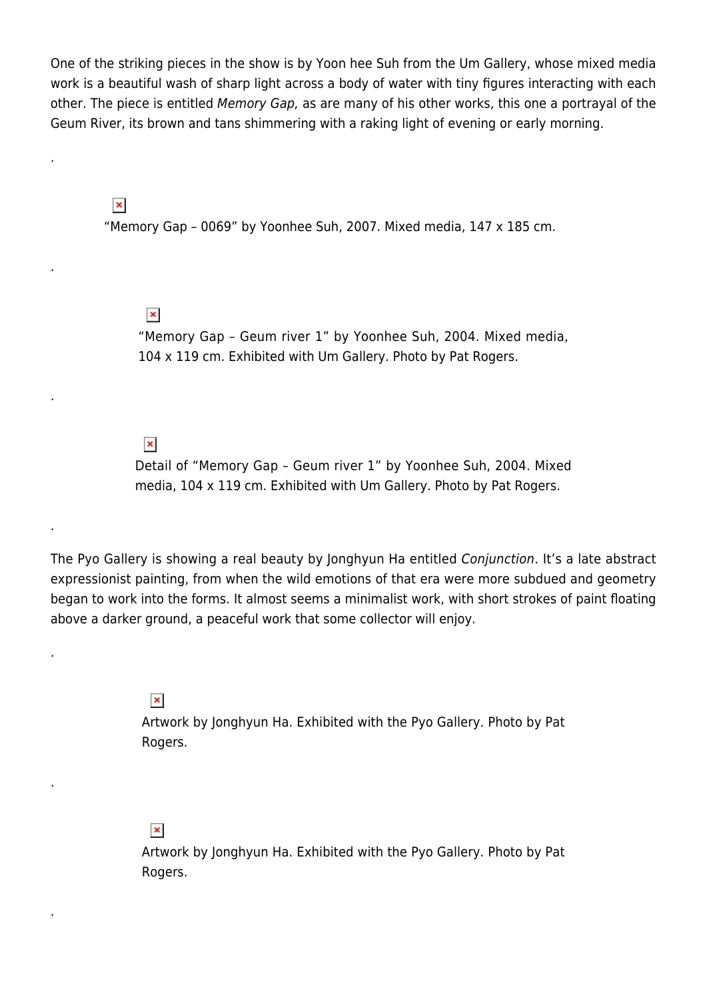One of the striking pieces in the show is by Yoon hee Suh from the Um Gallery, whose mixed media work is a beautiful wash of sharp light across a body of water with tiny figures interacting with each other. The piece is entitled Memory Gap, as are many of his other works, this one a portrayal of the Geum River, its brown and tans shimmering with a raking light of evening or early morning.

 $\pmb{\times}$ 

.

.

.

.

.

.

.

"Memory Gap – 0069" by Yoonhee Suh, 2007. Mixed media, 147 x 185 cm.

 $\pmb{\times}$ 

"Memory Gap – Geum river 1" by Yoonhee Suh, 2004. Mixed media, 104 x 119 cm. Exhibited with Um Gallery. Photo by Pat Rogers.

## $\pmb{\times}$

Detail of "Memory Gap – Geum river 1" by Yoonhee Suh, 2004. Mixed media, 104 x 119 cm. Exhibited with Um Gallery. Photo by Pat Rogers.

The Pyo Gallery is showing a real beauty by Jonghyun Ha entitled Conjunction. It's a late abstract expressionist painting, from when the wild emotions of that era were more subdued and geometry began to work into the forms. It almost seems a minimalist work, with short strokes of paint floating above a darker ground, a peaceful work that some collector will enjoy.

 $\pmb{\times}$ 

Artwork by Jonghyun Ha. Exhibited with the Pyo Gallery. Photo by Pat Rogers.

## $\pmb{\times}$

Artwork by Jonghyun Ha. Exhibited with the Pyo Gallery. Photo by Pat Rogers.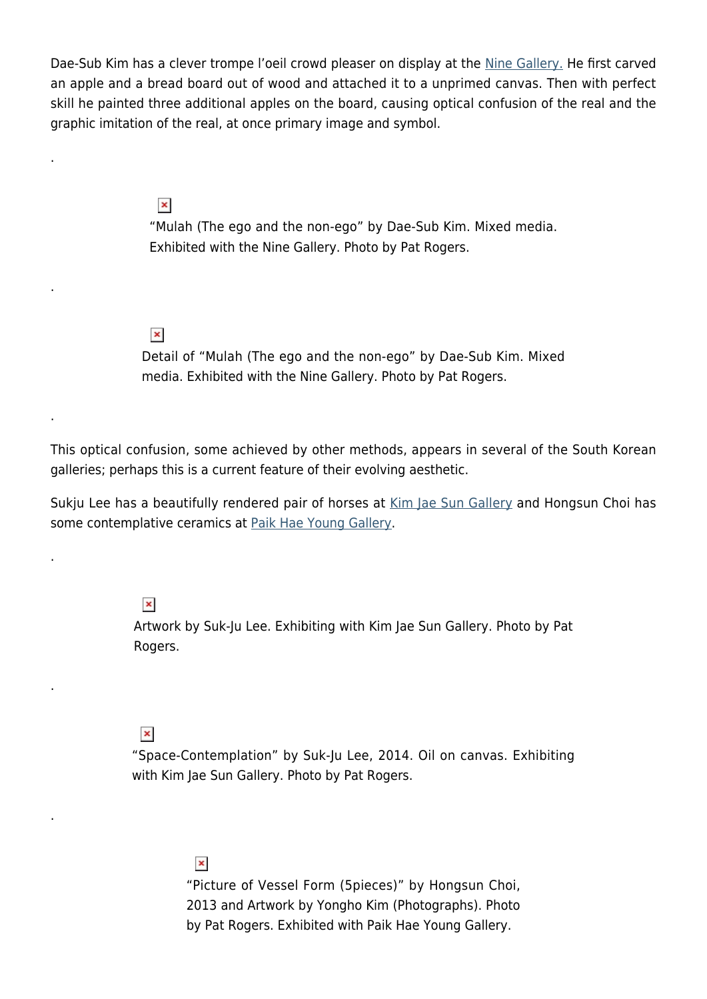Dae-Sub Kim has a clever trompe l'oeil crowd pleaser on display at the [Nine Gallery.](http://www.ninegallery.co.kr/english/index.php) He first carved an apple and a bread board out of wood and attached it to a unprimed canvas. Then with perfect skill he painted three additional apples on the board, causing optical confusion of the real and the graphic imitation of the real, at once primary image and symbol.

 $\pmb{\times}$ 

.

.

.

.

.

.

"Mulah (The ego and the non-ego" by Dae-Sub Kim. Mixed media. Exhibited with the Nine Gallery. Photo by Pat Rogers.

 $\pmb{\times}$ 

Detail of "Mulah (The ego and the non-ego" by Dae-Sub Kim. Mixed media. Exhibited with the Nine Gallery. Photo by Pat Rogers.

This optical confusion, some achieved by other methods, appears in several of the South Korean galleries; perhaps this is a current feature of their evolving aesthetic.

Sukju Lee has a beautifully rendered pair of horses at [Kim Jae Sun Gallery](http://www.kimjaesungallery.com/) and Hongsun Choi has some contemplative ceramics at [Paik Hae Young Gallery.](http://www.paikhygallery.com/)

 $\pmb{\times}$ 

Artwork by Suk-Ju Lee. Exhibiting with Kim Jae Sun Gallery. Photo by Pat Rogers.

 $\pmb{\times}$ 

"Space-Contemplation" by Suk-Ju Lee, 2014. Oil on canvas. Exhibiting with Kim Jae Sun Gallery. Photo by Pat Rogers.

> $\pmb{\times}$ "Picture of Vessel Form (5pieces)" by Hongsun Choi, 2013 and Artwork by Yongho Kim (Photographs). Photo by Pat Rogers. Exhibited with Paik Hae Young Gallery.